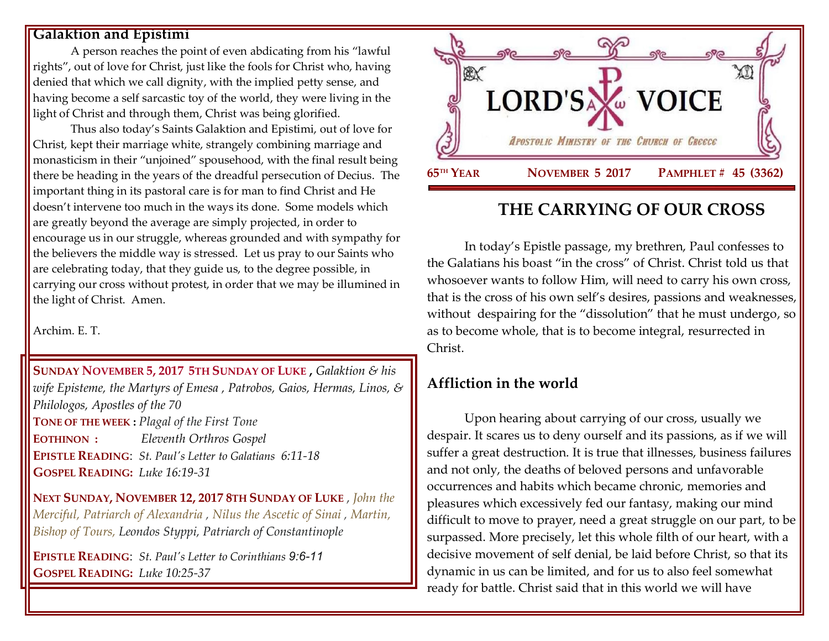#### **Galaktion and Epistimi**

A person reaches the point of even abdicating from his "lawful rights", out of love for Christ, just like the fools for Christ who, having denied that which we call dignity, with the implied petty sense, and having become a self sarcastic toy of the world, they were living in the light of Christ and through them, Christ was being glorified.

Thus also today's Saints Galaktion and Epistimi, out of love for Christ, kept their marriage white, strangely combining marriage and monasticism in their "unjoined" spousehood, with the final result being there be heading in the years of the dreadful persecution of Decius. The important thing in its pastoral care is for man to find Christ and He doesn't intervene too much in the ways its done. Some models which are greatly beyond the average are simply projected, in order to encourage us in our struggle, whereas grounded and with sympathy for the believers the middle way is stressed. Let us pray to our Saints who are celebrating today, that they guide us, to the degree possible, in carrying our cross without protest, in order that we may be illumined in the light of Christ. Amen.

Archim. E. T.

**SUNDAY NOVEMBER 5, 2017 5TH S[UNDAY OF](https://www.goarch.org/chapel/saints?contentid=911&PCode=5LS&D=S&date=11/5/2017) LUKE ,** *[Galaktion & his](https://www.goarch.org/chapel/saints?contentid=275)  [wife Episteme, the Martyrs of Emesa](https://www.goarch.org/chapel/saints?contentid=275) , Patrobos, Gaios, Hermas, Linos, & Philologos, Apostles of the 70* **TONE OF THE WEEK :** *Plagal of the First Tone* **EOTHINON :** *Eleventh Orthros Gospel* **EPISTLE READING**: *[St. Paul's Letter](https://www.goarch.org/chapel/lectionary?type=epistle&code=27&event=940&date=5/28/2017) to Galatians 6:11-18* **GOSPEL R[EADING](https://www.goarch.org/chapel/lectionary?type=gospel&code=43&event=940&date=5/28/2017):** *Luke 16:19-31*

**NEXT SUNDAY, NOVEMBER 12, 2017 8TH S[UNDAY OF](https://www.goarch.org/chapel/saints?contentid=978&PCode=8LS&D=S&date=11/12/2017) LUKE** , *[John the](https://www.goarch.org/chapel/saints?contentid=288)  [Merciful, Patriarch of Alexandria](https://www.goarch.org/chapel/saints?contentid=288) , [Nilus the Ascetic of Sinai](https://www.goarch.org/chapel/saints?contentid=289) , [Martin,](https://www.goarch.org/chapel/saints?contentid=2369)  [Bishop of Tours, Leondos Styppi, Patriarch of](https://www.goarch.org/chapel/saints?contentid=2369) Constantinople*

**EPISTLE READING**: *[St. Paul's Letter](https://www.goarch.org/chapel/lectionary?type=epistle&code=27&event=940&date=5/28/2017) to Corinthians 9:6-11* **GOSPEL R[EADING](https://www.goarch.org/chapel/lectionary?type=gospel&code=43&event=940&date=5/28/2017):** *Luke 10:25-37*



# **THE CARRYING OF OUR CROSS**

In today's Epistle passage, my brethren, Paul confesses to the Galatians his boast "in the cross" of Christ. Christ told us that whosoever wants to follow Him, will need to carry his own cross, that is the cross of his own self's desires, passions and weaknesses, without despairing for the "dissolution" that he must undergo, so as to become whole, that is to become integral, resurrected in Christ.

## **Affliction in the world**

Upon hearing about carrying of our cross, usually we despair. It scares us to deny ourself and its passions, as if we will suffer a great destruction. It is true that illnesses, business failures and not only, the deaths of beloved persons and unfavorable occurrences and habits which became chronic, memories and pleasures which excessively fed our fantasy, making our mind difficult to move to prayer, need a great struggle on our part, to be surpassed. More precisely, let this whole filth of our heart, with a decisive movement of self denial, be laid before Christ, so that its dynamic in us can be limited, and for us to also feel somewhat ready for battle. Christ said that in this world we will have